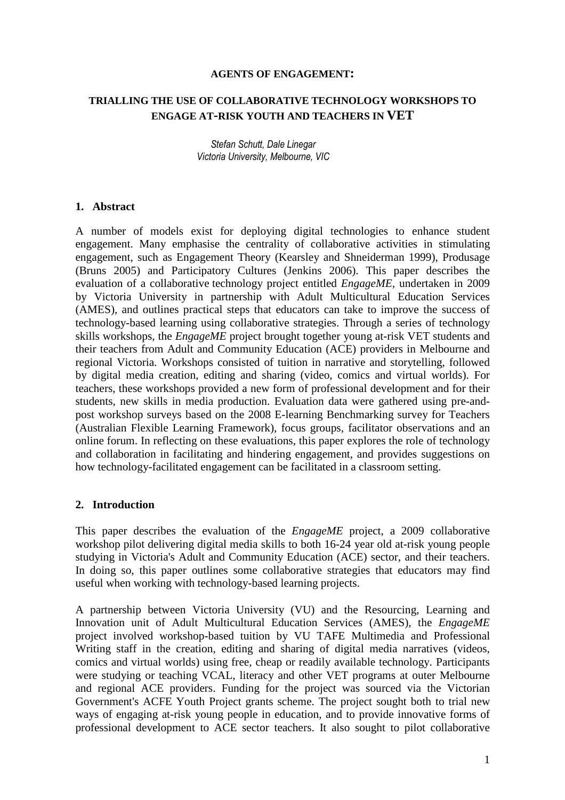#### **AGENTS OF ENGAGEMENT:**

# **TRIALLING THE USE OF COLLABORATIVE TECHNOLOGY WORKSHOPS TO ENGAGE AT-RISK YOUTH AND TEACHERS IN VET**

Stefan Schutt, Dale Linegar Victoria University, Melbourne, VIC

#### **1. Abstract**

A number of models exist for deploying digital technologies to enhance student engagement. Many emphasise the centrality of collaborative activities in stimulating engagement, such as Engagement Theory (Kearsley and Shneiderman 1999), Produsage (Bruns 2005) and Participatory Cultures (Jenkins 2006). This paper describes the evaluation of a collaborative technology project entitled *EngageME*, undertaken in 2009 by Victoria University in partnership with Adult Multicultural Education Services (AMES), and outlines practical steps that educators can take to improve the success of technology-based learning using collaborative strategies. Through a series of technology skills workshops, the *EngageME* project brought together young at-risk VET students and their teachers from Adult and Community Education (ACE) providers in Melbourne and regional Victoria. Workshops consisted of tuition in narrative and storytelling, followed by digital media creation, editing and sharing (video, comics and virtual worlds). For teachers, these workshops provided a new form of professional development and for their students, new skills in media production. Evaluation data were gathered using pre-andpost workshop surveys based on the 2008 E-learning Benchmarking survey for Teachers (Australian Flexible Learning Framework), focus groups, facilitator observations and an online forum. In reflecting on these evaluations, this paper explores the role of technology and collaboration in facilitating and hindering engagement, and provides suggestions on how technology-facilitated engagement can be facilitated in a classroom setting.

### **2. Introduction**

This paper describes the evaluation of the *EngageME* project, a 2009 collaborative workshop pilot delivering digital media skills to both 16-24 year old at-risk young people studying in Victoria's Adult and Community Education (ACE) sector, and their teachers. In doing so, this paper outlines some collaborative strategies that educators may find useful when working with technology-based learning projects.

A partnership between Victoria University (VU) and the Resourcing, Learning and Innovation unit of Adult Multicultural Education Services (AMES), the *EngageME* project involved workshop-based tuition by VU TAFE Multimedia and Professional Writing staff in the creation, editing and sharing of digital media narratives (videos, comics and virtual worlds) using free, cheap or readily available technology. Participants were studying or teaching VCAL, literacy and other VET programs at outer Melbourne and regional ACE providers. Funding for the project was sourced via the Victorian Government's ACFE Youth Project grants scheme. The project sought both to trial new ways of engaging at-risk young people in education, and to provide innovative forms of professional development to ACE sector teachers. It also sought to pilot collaborative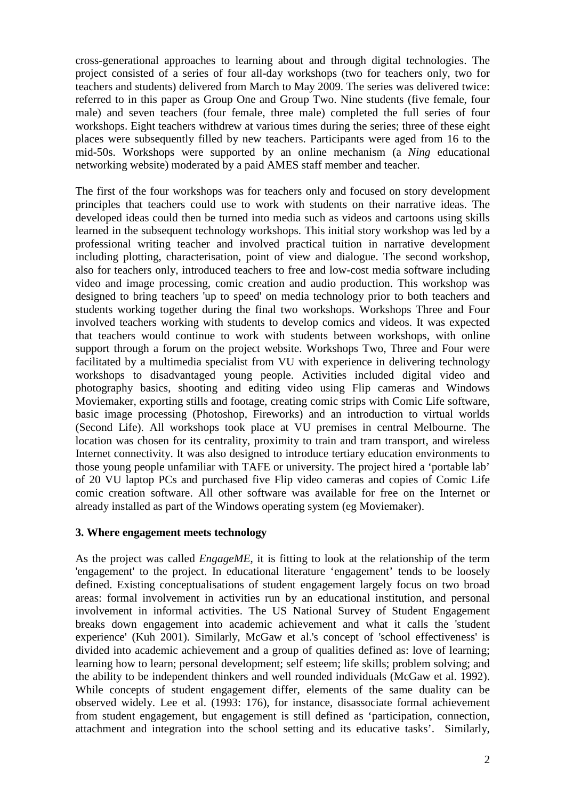cross-generational approaches to learning about and through digital technologies. The project consisted of a series of four all-day workshops (two for teachers only, two for teachers and students) delivered from March to May 2009. The series was delivered twice: referred to in this paper as Group One and Group Two. Nine students (five female, four male) and seven teachers (four female, three male) completed the full series of four workshops. Eight teachers withdrew at various times during the series; three of these eight places were subsequently filled by new teachers. Participants were aged from 16 to the mid-50s. Workshops were supported by an online mechanism (a *Ning* educational networking website) moderated by a paid AMES staff member and teacher.

The first of the four workshops was for teachers only and focused on story development principles that teachers could use to work with students on their narrative ideas. The developed ideas could then be turned into media such as videos and cartoons using skills learned in the subsequent technology workshops. This initial story workshop was led by a professional writing teacher and involved practical tuition in narrative development including plotting, characterisation, point of view and dialogue. The second workshop, also for teachers only, introduced teachers to free and low-cost media software including video and image processing, comic creation and audio production. This workshop was designed to bring teachers 'up to speed' on media technology prior to both teachers and students working together during the final two workshops. Workshops Three and Four involved teachers working with students to develop comics and videos. It was expected that teachers would continue to work with students between workshops, with online support through a forum on the project website. Workshops Two, Three and Four were facilitated by a multimedia specialist from VU with experience in delivering technology workshops to disadvantaged young people. Activities included digital video and photography basics, shooting and editing video using Flip cameras and Windows Moviemaker, exporting stills and footage, creating comic strips with Comic Life software, basic image processing (Photoshop, Fireworks) and an introduction to virtual worlds (Second Life). All workshops took place at VU premises in central Melbourne. The location was chosen for its centrality, proximity to train and tram transport, and wireless Internet connectivity. It was also designed to introduce tertiary education environments to those young people unfamiliar with TAFE or university. The project hired a 'portable lab' of 20 VU laptop PCs and purchased five Flip video cameras and copies of Comic Life comic creation software. All other software was available for free on the Internet or already installed as part of the Windows operating system (eg Moviemaker).

# **3. Where engagement meets technology**

As the project was called *EngageME*, it is fitting to look at the relationship of the term 'engagement' to the project. In educational literature 'engagement' tends to be loosely defined. Existing conceptualisations of student engagement largely focus on two broad areas: formal involvement in activities run by an educational institution, and personal involvement in informal activities. The US National Survey of Student Engagement breaks down engagement into academic achievement and what it calls the 'student experience' (Kuh 2001). Similarly, McGaw et al.'s concept of 'school effectiveness' is divided into academic achievement and a group of qualities defined as: love of learning; learning how to learn; personal development; self esteem; life skills; problem solving; and the ability to be independent thinkers and well rounded individuals (McGaw et al. 1992). While concepts of student engagement differ, elements of the same duality can be observed widely. Lee et al. (1993: 176), for instance, disassociate formal achievement from student engagement, but engagement is still defined as 'participation, connection, attachment and integration into the school setting and its educative tasks'. Similarly,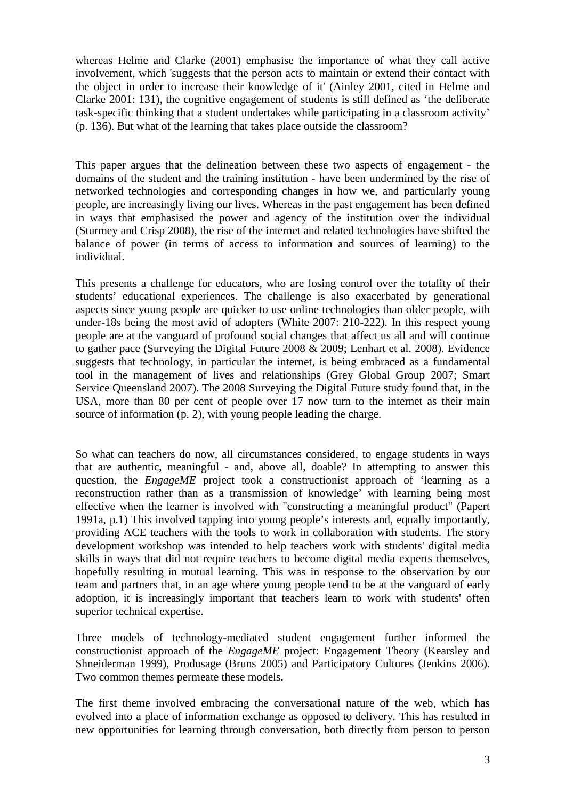whereas Helme and Clarke (2001) emphasise the importance of what they call active involvement, which 'suggests that the person acts to maintain or extend their contact with the object in order to increase their knowledge of it' (Ainley 2001, cited in Helme and Clarke 2001: 131), the cognitive engagement of students is still defined as 'the deliberate task-specific thinking that a student undertakes while participating in a classroom activity' (p. 136). But what of the learning that takes place outside the classroom?

This paper argues that the delineation between these two aspects of engagement - the domains of the student and the training institution - have been undermined by the rise of networked technologies and corresponding changes in how we, and particularly young people, are increasingly living our lives. Whereas in the past engagement has been defined in ways that emphasised the power and agency of the institution over the individual (Sturmey and Crisp 2008), the rise of the internet and related technologies have shifted the balance of power (in terms of access to information and sources of learning) to the individual.

This presents a challenge for educators, who are losing control over the totality of their students' educational experiences. The challenge is also exacerbated by generational aspects since young people are quicker to use online technologies than older people, with under-18s being the most avid of adopters (White 2007: 210-222). In this respect young people are at the vanguard of profound social changes that affect us all and will continue to gather pace (Surveying the Digital Future 2008 & 2009; Lenhart et al. 2008). Evidence suggests that technology, in particular the internet, is being embraced as a fundamental tool in the management of lives and relationships (Grey Global Group 2007; Smart Service Queensland 2007). The 2008 Surveying the Digital Future study found that, in the USA, more than 80 per cent of people over 17 now turn to the internet as their main source of information (p. 2), with young people leading the charge.

So what can teachers do now, all circumstances considered, to engage students in ways that are authentic, meaningful - and, above all, doable? In attempting to answer this question, the *EngageME* project took a constructionist approach of 'learning as a reconstruction rather than as a transmission of knowledge' with learning being most effective when the learner is involved with "constructing a meaningful product" (Papert 1991a, p.1) This involved tapping into young people's interests and, equally importantly, providing ACE teachers with the tools to work in collaboration with students. The story development workshop was intended to help teachers work with students' digital media skills in ways that did not require teachers to become digital media experts themselves, hopefully resulting in mutual learning. This was in response to the observation by our team and partners that, in an age where young people tend to be at the vanguard of early adoption, it is increasingly important that teachers learn to work with students' often superior technical expertise.

Three models of technology-mediated student engagement further informed the constructionist approach of the *EngageME* project: Engagement Theory (Kearsley and Shneiderman 1999), Produsage (Bruns 2005) and Participatory Cultures (Jenkins 2006). Two common themes permeate these models.

The first theme involved embracing the conversational nature of the web, which has evolved into a place of information exchange as opposed to delivery. This has resulted in new opportunities for learning through conversation, both directly from person to person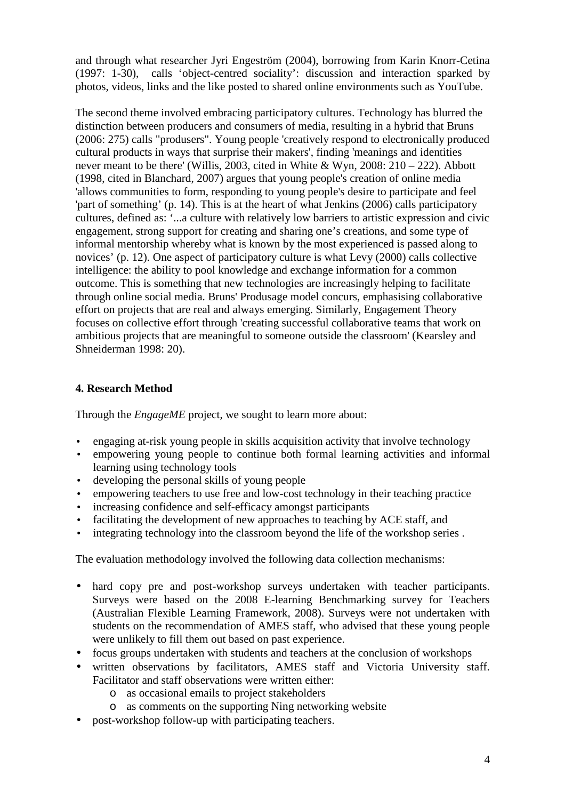and through what researcher Jyri Engeström (2004), borrowing from Karin Knorr-Cetina (1997: 1-30), calls 'object-centred sociality': discussion and interaction sparked by photos, videos, links and the like posted to shared online environments such as YouTube.

The second theme involved embracing participatory cultures. Technology has blurred the distinction between producers and consumers of media, resulting in a hybrid that Bruns (2006: 275) calls "produsers". Young people 'creatively respond to electronically produced cultural products in ways that surprise their makers', finding 'meanings and identities never meant to be there' (Willis, 2003, cited in White & Wyn, 2008: 210 – 222). Abbott (1998, cited in Blanchard, 2007) argues that young people's creation of online media 'allows communities to form, responding to young people's desire to participate and feel 'part of something' (p. 14). This is at the heart of what Jenkins (2006) calls participatory cultures, defined as: '...a culture with relatively low barriers to artistic expression and civic engagement, strong support for creating and sharing one's creations, and some type of informal mentorship whereby what is known by the most experienced is passed along to novices' (p. 12). One aspect of participatory culture is what Levy (2000) calls collective intelligence: the ability to pool knowledge and exchange information for a common outcome. This is something that new technologies are increasingly helping to facilitate through online social media. Bruns' Produsage model concurs, emphasising collaborative effort on projects that are real and always emerging. Similarly, Engagement Theory focuses on collective effort through 'creating successful collaborative teams that work on ambitious projects that are meaningful to someone outside the classroom' (Kearsley and Shneiderman 1998: 20).

# **4. Research Method**

Through the *EngageME* project, we sought to learn more about:

- engaging at-risk young people in skills acquisition activity that involve technology
- empowering young people to continue both formal learning activities and informal learning using technology tools
- developing the personal skills of young people
- empowering teachers to use free and low-cost technology in their teaching practice
- increasing confidence and self-efficacy amongst participants
- facilitating the development of new approaches to teaching by ACE staff, and
- integrating technology into the classroom beyond the life of the workshop series .

The evaluation methodology involved the following data collection mechanisms:

- hard copy pre and post-workshop surveys undertaken with teacher participants. Surveys were based on the 2008 E-learning Benchmarking survey for Teachers (Australian Flexible Learning Framework, 2008). Surveys were not undertaken with students on the recommendation of AMES staff, who advised that these young people were unlikely to fill them out based on past experience.
- focus groups undertaken with students and teachers at the conclusion of workshops
- written observations by facilitators, AMES staff and Victoria University staff. Facilitator and staff observations were written either:
	- o as occasional emails to project stakeholders
	- o as comments on the supporting Ning networking website
- post-workshop follow-up with participating teachers.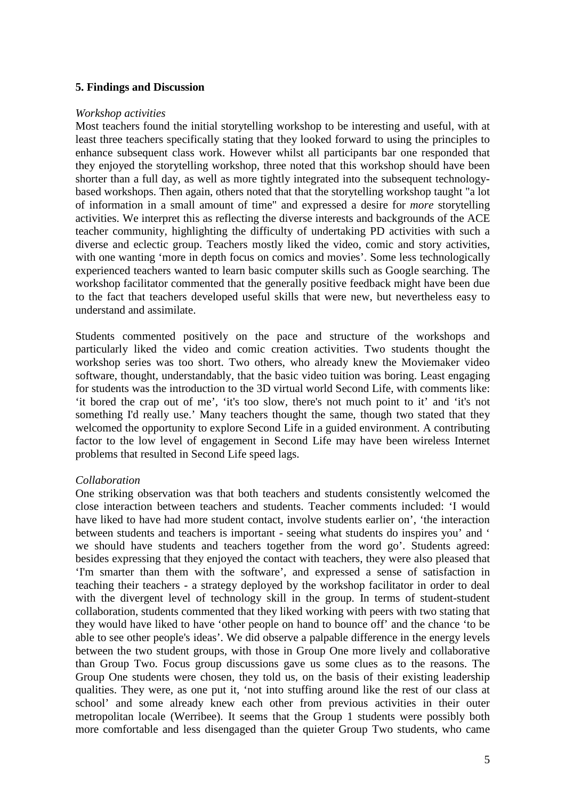### **5. Findings and Discussion**

#### *Workshop activities*

Most teachers found the initial storytelling workshop to be interesting and useful, with at least three teachers specifically stating that they looked forward to using the principles to enhance subsequent class work. However whilst all participants bar one responded that they enjoyed the storytelling workshop, three noted that this workshop should have been shorter than a full day, as well as more tightly integrated into the subsequent technologybased workshops. Then again, others noted that that the storytelling workshop taught "a lot of information in a small amount of time" and expressed a desire for *more* storytelling activities. We interpret this as reflecting the diverse interests and backgrounds of the ACE teacher community, highlighting the difficulty of undertaking PD activities with such a diverse and eclectic group. Teachers mostly liked the video, comic and story activities, with one wanting 'more in depth focus on comics and movies'. Some less technologically experienced teachers wanted to learn basic computer skills such as Google searching. The workshop facilitator commented that the generally positive feedback might have been due to the fact that teachers developed useful skills that were new, but nevertheless easy to understand and assimilate.

Students commented positively on the pace and structure of the workshops and particularly liked the video and comic creation activities. Two students thought the workshop series was too short. Two others, who already knew the Moviemaker video software, thought, understandably, that the basic video tuition was boring. Least engaging for students was the introduction to the 3D virtual world Second Life, with comments like: 'it bored the crap out of me', 'it's too slow, there's not much point to it' and 'it's not something I'd really use.' Many teachers thought the same, though two stated that they welcomed the opportunity to explore Second Life in a guided environment. A contributing factor to the low level of engagement in Second Life may have been wireless Internet problems that resulted in Second Life speed lags.

#### *Collaboration*

One striking observation was that both teachers and students consistently welcomed the close interaction between teachers and students. Teacher comments included: 'I would have liked to have had more student contact, involve students earlier on', 'the interaction between students and teachers is important - seeing what students do inspires you' and ' we should have students and teachers together from the word go'. Students agreed: besides expressing that they enjoyed the contact with teachers, they were also pleased that 'I'm smarter than them with the software', and expressed a sense of satisfaction in teaching their teachers - a strategy deployed by the workshop facilitator in order to deal with the divergent level of technology skill in the group. In terms of student-student collaboration, students commented that they liked working with peers with two stating that they would have liked to have 'other people on hand to bounce off' and the chance 'to be able to see other people's ideas'. We did observe a palpable difference in the energy levels between the two student groups, with those in Group One more lively and collaborative than Group Two. Focus group discussions gave us some clues as to the reasons. The Group One students were chosen, they told us, on the basis of their existing leadership qualities. They were, as one put it, 'not into stuffing around like the rest of our class at school' and some already knew each other from previous activities in their outer metropolitan locale (Werribee). It seems that the Group 1 students were possibly both more comfortable and less disengaged than the quieter Group Two students, who came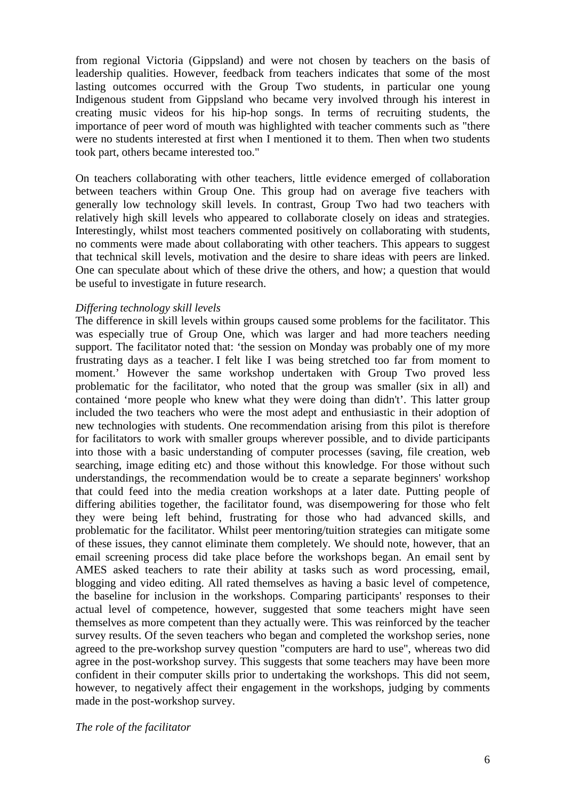from regional Victoria (Gippsland) and were not chosen by teachers on the basis of leadership qualities. However, feedback from teachers indicates that some of the most lasting outcomes occurred with the Group Two students, in particular one young Indigenous student from Gippsland who became very involved through his interest in creating music videos for his hip-hop songs. In terms of recruiting students, the importance of peer word of mouth was highlighted with teacher comments such as "there were no students interested at first when I mentioned it to them. Then when two students took part, others became interested too."

On teachers collaborating with other teachers, little evidence emerged of collaboration between teachers within Group One. This group had on average five teachers with generally low technology skill levels. In contrast, Group Two had two teachers with relatively high skill levels who appeared to collaborate closely on ideas and strategies. Interestingly, whilst most teachers commented positively on collaborating with students, no comments were made about collaborating with other teachers. This appears to suggest that technical skill levels, motivation and the desire to share ideas with peers are linked. One can speculate about which of these drive the others, and how; a question that would be useful to investigate in future research.

### *Differing technology skill levels*

The difference in skill levels within groups caused some problems for the facilitator. This was especially true of Group One, which was larger and had more teachers needing support. The facilitator noted that: 'the session on Monday was probably one of my more frustrating days as a teacher. I felt like I was being stretched too far from moment to moment.' However the same workshop undertaken with Group Two proved less problematic for the facilitator, who noted that the group was smaller (six in all) and contained 'more people who knew what they were doing than didn't'. This latter group included the two teachers who were the most adept and enthusiastic in their adoption of new technologies with students. One recommendation arising from this pilot is therefore for facilitators to work with smaller groups wherever possible, and to divide participants into those with a basic understanding of computer processes (saving, file creation, web searching, image editing etc) and those without this knowledge. For those without such understandings, the recommendation would be to create a separate beginners' workshop that could feed into the media creation workshops at a later date. Putting people of differing abilities together, the facilitator found, was disempowering for those who felt they were being left behind, frustrating for those who had advanced skills, and problematic for the facilitator. Whilst peer mentoring/tuition strategies can mitigate some of these issues, they cannot eliminate them completely. We should note, however, that an email screening process did take place before the workshops began. An email sent by AMES asked teachers to rate their ability at tasks such as word processing, email, blogging and video editing. All rated themselves as having a basic level of competence, the baseline for inclusion in the workshops. Comparing participants' responses to their actual level of competence, however, suggested that some teachers might have seen themselves as more competent than they actually were. This was reinforced by the teacher survey results. Of the seven teachers who began and completed the workshop series, none agreed to the pre-workshop survey question "computers are hard to use", whereas two did agree in the post-workshop survey. This suggests that some teachers may have been more confident in their computer skills prior to undertaking the workshops. This did not seem, however, to negatively affect their engagement in the workshops, judging by comments made in the post-workshop survey.

*The role of the facilitator*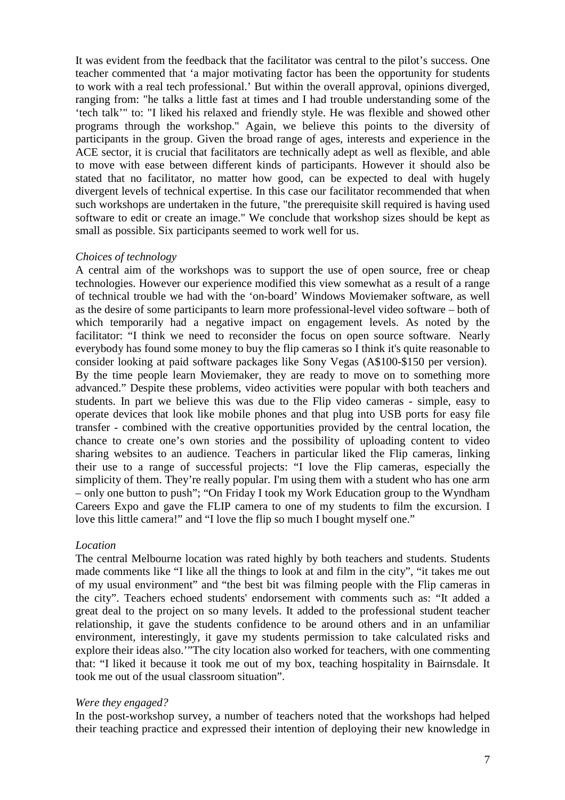It was evident from the feedback that the facilitator was central to the pilot's success. One teacher commented that 'a major motivating factor has been the opportunity for students to work with a real tech professional.' But within the overall approval, opinions diverged, ranging from: "he talks a little fast at times and I had trouble understanding some of the 'tech talk'" to: "I liked his relaxed and friendly style. He was flexible and showed other programs through the workshop." Again, we believe this points to the diversity of participants in the group. Given the broad range of ages, interests and experience in the ACE sector, it is crucial that facilitators are technically adept as well as flexible, and able to move with ease between different kinds of participants. However it should also be stated that no facilitator, no matter how good, can be expected to deal with hugely divergent levels of technical expertise. In this case our facilitator recommended that when such workshops are undertaken in the future, "the prerequisite skill required is having used software to edit or create an image." We conclude that workshop sizes should be kept as small as possible. Six participants seemed to work well for us.

### *Choices of technology*

A central aim of the workshops was to support the use of open source, free or cheap technologies. However our experience modified this view somewhat as a result of a range of technical trouble we had with the 'on-board' Windows Moviemaker software, as well as the desire of some participants to learn more professional-level video software – both of which temporarily had a negative impact on engagement levels. As noted by the facilitator: "I think we need to reconsider the focus on open source software. Nearly everybody has found some money to buy the flip cameras so I think it's quite reasonable to consider looking at paid software packages like Sony Vegas (A\$100-\$150 per version). By the time people learn Moviemaker, they are ready to move on to something more advanced." Despite these problems, video activities were popular with both teachers and students. In part we believe this was due to the Flip video cameras - simple, easy to operate devices that look like mobile phones and that plug into USB ports for easy file transfer - combined with the creative opportunities provided by the central location, the chance to create one's own stories and the possibility of uploading content to video sharing websites to an audience. Teachers in particular liked the Flip cameras, linking their use to a range of successful projects: "I love the Flip cameras, especially the simplicity of them. They're really popular. I'm using them with a student who has one arm – only one button to push"; "On Friday I took my Work Education group to the Wyndham Careers Expo and gave the FLIP camera to one of my students to film the excursion. I love this little camera!" and "I love the flip so much I bought myself one."

### *Location*

The central Melbourne location was rated highly by both teachers and students. Students made comments like "I like all the things to look at and film in the city", "it takes me out of my usual environment" and "the best bit was filming people with the Flip cameras in the city". Teachers echoed students' endorsement with comments such as: "It added a great deal to the project on so many levels. It added to the professional student teacher relationship, it gave the students confidence to be around others and in an unfamiliar environment, interestingly, it gave my students permission to take calculated risks and explore their ideas also.'"The city location also worked for teachers, with one commenting that: "I liked it because it took me out of my box, teaching hospitality in Bairnsdale. It took me out of the usual classroom situation".

### *Were they engaged?*

In the post-workshop survey, a number of teachers noted that the workshops had helped their teaching practice and expressed their intention of deploying their new knowledge in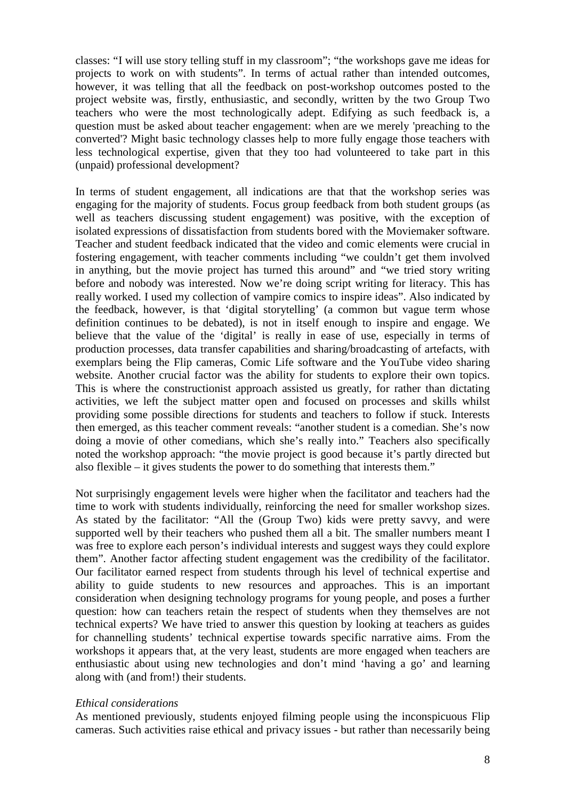classes: "I will use story telling stuff in my classroom"; "the workshops gave me ideas for projects to work on with students". In terms of actual rather than intended outcomes, however, it was telling that all the feedback on post-workshop outcomes posted to the project website was, firstly, enthusiastic, and secondly, written by the two Group Two teachers who were the most technologically adept. Edifying as such feedback is, a question must be asked about teacher engagement: when are we merely 'preaching to the converted'? Might basic technology classes help to more fully engage those teachers with less technological expertise, given that they too had volunteered to take part in this (unpaid) professional development?

In terms of student engagement, all indications are that that the workshop series was engaging for the majority of students. Focus group feedback from both student groups (as well as teachers discussing student engagement) was positive, with the exception of isolated expressions of dissatisfaction from students bored with the Moviemaker software. Teacher and student feedback indicated that the video and comic elements were crucial in fostering engagement, with teacher comments including "we couldn't get them involved in anything, but the movie project has turned this around" and "we tried story writing before and nobody was interested. Now we're doing script writing for literacy. This has really worked. I used my collection of vampire comics to inspire ideas". Also indicated by the feedback, however, is that 'digital storytelling' (a common but vague term whose definition continues to be debated), is not in itself enough to inspire and engage. We believe that the value of the 'digital' is really in ease of use, especially in terms of production processes, data transfer capabilities and sharing/broadcasting of artefacts, with exemplars being the Flip cameras, Comic Life software and the YouTube video sharing website. Another crucial factor was the ability for students to explore their own topics. This is where the constructionist approach assisted us greatly, for rather than dictating activities, we left the subject matter open and focused on processes and skills whilst providing some possible directions for students and teachers to follow if stuck. Interests then emerged, as this teacher comment reveals: "another student is a comedian. She's now doing a movie of other comedians, which she's really into." Teachers also specifically noted the workshop approach: "the movie project is good because it's partly directed but also flexible – it gives students the power to do something that interests them."

Not surprisingly engagement levels were higher when the facilitator and teachers had the time to work with students individually, reinforcing the need for smaller workshop sizes. As stated by the facilitator: "All the (Group Two) kids were pretty savvy, and were supported well by their teachers who pushed them all a bit. The smaller numbers meant I was free to explore each person's individual interests and suggest ways they could explore them". Another factor affecting student engagement was the credibility of the facilitator. Our facilitator earned respect from students through his level of technical expertise and ability to guide students to new resources and approaches. This is an important consideration when designing technology programs for young people, and poses a further question: how can teachers retain the respect of students when they themselves are not technical experts? We have tried to answer this question by looking at teachers as guides for channelling students' technical expertise towards specific narrative aims. From the workshops it appears that, at the very least, students are more engaged when teachers are enthusiastic about using new technologies and don't mind 'having a go' and learning along with (and from!) their students.

#### *Ethical considerations*

As mentioned previously, students enjoyed filming people using the inconspicuous Flip cameras. Such activities raise ethical and privacy issues - but rather than necessarily being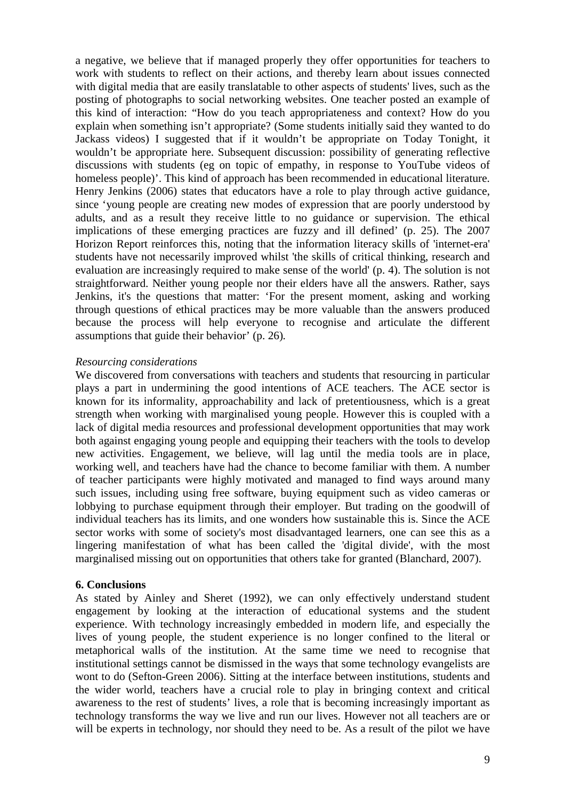a negative, we believe that if managed properly they offer opportunities for teachers to work with students to reflect on their actions, and thereby learn about issues connected with digital media that are easily translatable to other aspects of students' lives, such as the posting of photographs to social networking websites. One teacher posted an example of this kind of interaction: "How do you teach appropriateness and context? How do you explain when something isn't appropriate? (Some students initially said they wanted to do Jackass videos) I suggested that if it wouldn't be appropriate on Today Tonight, it wouldn't be appropriate here. Subsequent discussion: possibility of generating reflective discussions with students (eg on topic of empathy, in response to YouTube videos of homeless people)'. This kind of approach has been recommended in educational literature. Henry Jenkins (2006) states that educators have a role to play through active guidance, since 'young people are creating new modes of expression that are poorly understood by adults, and as a result they receive little to no guidance or supervision. The ethical implications of these emerging practices are fuzzy and ill defined' (p. 25). The 2007 Horizon Report reinforces this, noting that the information literacy skills of 'internet-era' students have not necessarily improved whilst 'the skills of critical thinking, research and evaluation are increasingly required to make sense of the world' (p. 4). The solution is not straightforward. Neither young people nor their elders have all the answers. Rather, says Jenkins, it's the questions that matter: 'For the present moment, asking and working through questions of ethical practices may be more valuable than the answers produced because the process will help everyone to recognise and articulate the different assumptions that guide their behavior' (p. 26)*.*

### *Resourcing considerations*

We discovered from conversations with teachers and students that resourcing in particular plays a part in undermining the good intentions of ACE teachers. The ACE sector is known for its informality, approachability and lack of pretentiousness, which is a great strength when working with marginalised young people. However this is coupled with a lack of digital media resources and professional development opportunities that may work both against engaging young people and equipping their teachers with the tools to develop new activities. Engagement, we believe, will lag until the media tools are in place, working well, and teachers have had the chance to become familiar with them. A number of teacher participants were highly motivated and managed to find ways around many such issues, including using free software, buying equipment such as video cameras or lobbying to purchase equipment through their employer. But trading on the goodwill of individual teachers has its limits, and one wonders how sustainable this is. Since the ACE sector works with some of society's most disadvantaged learners, one can see this as a lingering manifestation of what has been called the 'digital divide', with the most marginalised missing out on opportunities that others take for granted (Blanchard, 2007).

#### **6. Conclusions**

As stated by Ainley and Sheret (1992), we can only effectively understand student engagement by looking at the interaction of educational systems and the student experience. With technology increasingly embedded in modern life, and especially the lives of young people, the student experience is no longer confined to the literal or metaphorical walls of the institution. At the same time we need to recognise that institutional settings cannot be dismissed in the ways that some technology evangelists are wont to do (Sefton-Green 2006). Sitting at the interface between institutions, students and the wider world, teachers have a crucial role to play in bringing context and critical awareness to the rest of students' lives, a role that is becoming increasingly important as technology transforms the way we live and run our lives. However not all teachers are or will be experts in technology, nor should they need to be. As a result of the pilot we have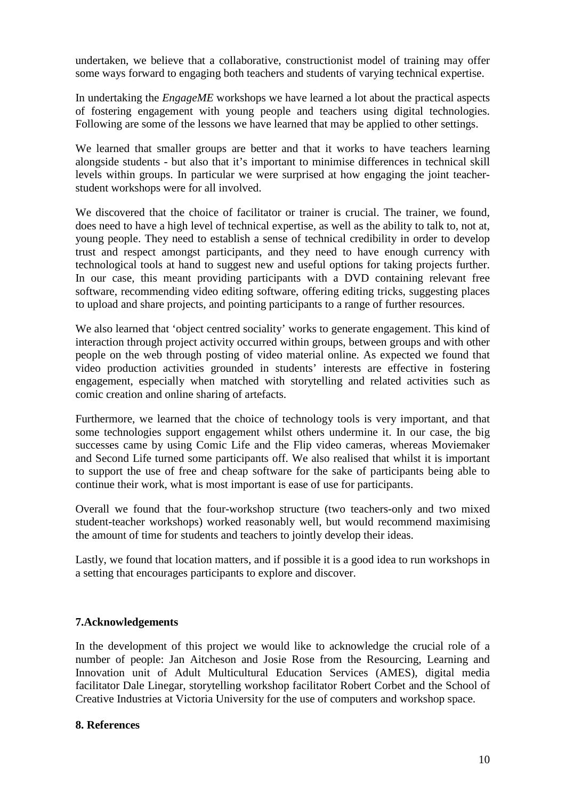undertaken, we believe that a collaborative, constructionist model of training may offer some ways forward to engaging both teachers and students of varying technical expertise.

In undertaking the *EngageME* workshops we have learned a lot about the practical aspects of fostering engagement with young people and teachers using digital technologies. Following are some of the lessons we have learned that may be applied to other settings.

We learned that smaller groups are better and that it works to have teachers learning alongside students - but also that it's important to minimise differences in technical skill levels within groups. In particular we were surprised at how engaging the joint teacherstudent workshops were for all involved.

We discovered that the choice of facilitator or trainer is crucial. The trainer, we found, does need to have a high level of technical expertise, as well as the ability to talk to, not at, young people. They need to establish a sense of technical credibility in order to develop trust and respect amongst participants, and they need to have enough currency with technological tools at hand to suggest new and useful options for taking projects further. In our case, this meant providing participants with a DVD containing relevant free software, recommending video editing software, offering editing tricks, suggesting places to upload and share projects, and pointing participants to a range of further resources.

We also learned that 'object centred sociality' works to generate engagement. This kind of interaction through project activity occurred within groups, between groups and with other people on the web through posting of video material online. As expected we found that video production activities grounded in students' interests are effective in fostering engagement, especially when matched with storytelling and related activities such as comic creation and online sharing of artefacts.

Furthermore, we learned that the choice of technology tools is very important, and that some technologies support engagement whilst others undermine it. In our case, the big successes came by using Comic Life and the Flip video cameras, whereas Moviemaker and Second Life turned some participants off. We also realised that whilst it is important to support the use of free and cheap software for the sake of participants being able to continue their work, what is most important is ease of use for participants.

Overall we found that the four-workshop structure (two teachers-only and two mixed student-teacher workshops) worked reasonably well, but would recommend maximising the amount of time for students and teachers to jointly develop their ideas.

Lastly, we found that location matters, and if possible it is a good idea to run workshops in a setting that encourages participants to explore and discover.

# **7.Acknowledgements**

In the development of this project we would like to acknowledge the crucial role of a number of people: Jan Aitcheson and Josie Rose from the Resourcing, Learning and Innovation unit of Adult Multicultural Education Services (AMES), digital media facilitator Dale Linegar, storytelling workshop facilitator Robert Corbet and the School of Creative Industries at Victoria University for the use of computers and workshop space.

### **8. References**